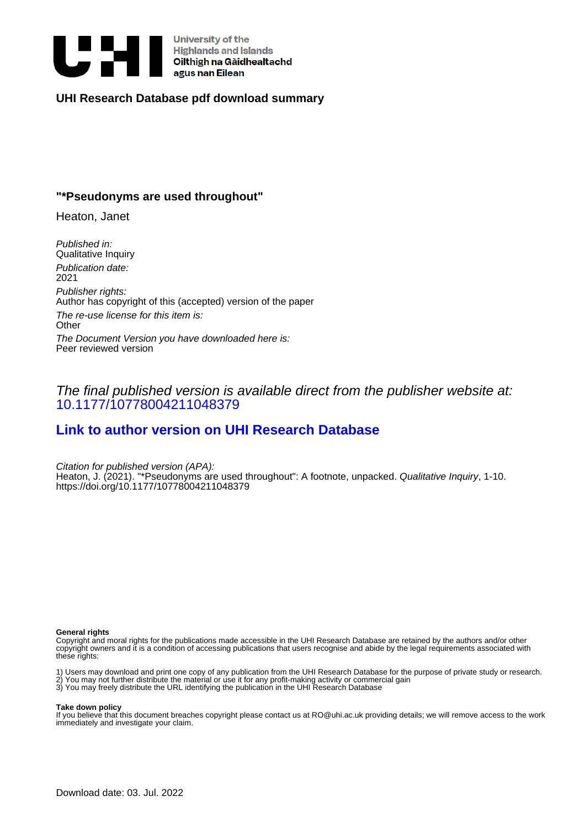

## **UHI Research Database pdf download summary**

## **"\*Pseudonyms are used throughout"**

Heaton, Janet

Published in: Qualitative Inquirv Publication date: 2021 Publisher rights: Author has copyright of this (accepted) version of the paper The re-use license for this item is: **Other** The Document Version you have downloaded here is: Peer reviewed version

## The final published version is available direct from the publisher website at: [10.1177/10778004211048379](https://doi.org/10.1177/10778004211048379)

## **[Link to author version on UHI Research Database](https://pure.uhi.ac.uk/en/publications/ac822667-e13c-4a8b-9584-77da86f6892c)**

Citation for published version (APA): Heaton, J. (2021). "\*Pseudonyms are used throughout": A footnote, unpacked. Qualitative Inquiry, 1-10. <https://doi.org/10.1177/10778004211048379>

#### **General rights**

Copyright and moral rights for the publications made accessible in the UHI Research Database are retained by the authors and/or other copyright owners and it is a condition of accessing publications that users recognise and abide by the legal requirements associated with these rights:

1) Users may download and print one copy of any publication from the UHI Research Database for the purpose of private study or research. 2) You may not further distribute the material or use it for any profit-making activity or commercial gain

3) You may freely distribute the URL identifying the publication in the UHI Research Database

#### **Take down policy**

If you believe that this document breaches copyright please contact us at RO@uhi.ac.uk providing details; we will remove access to the work immediately and investigate your claim.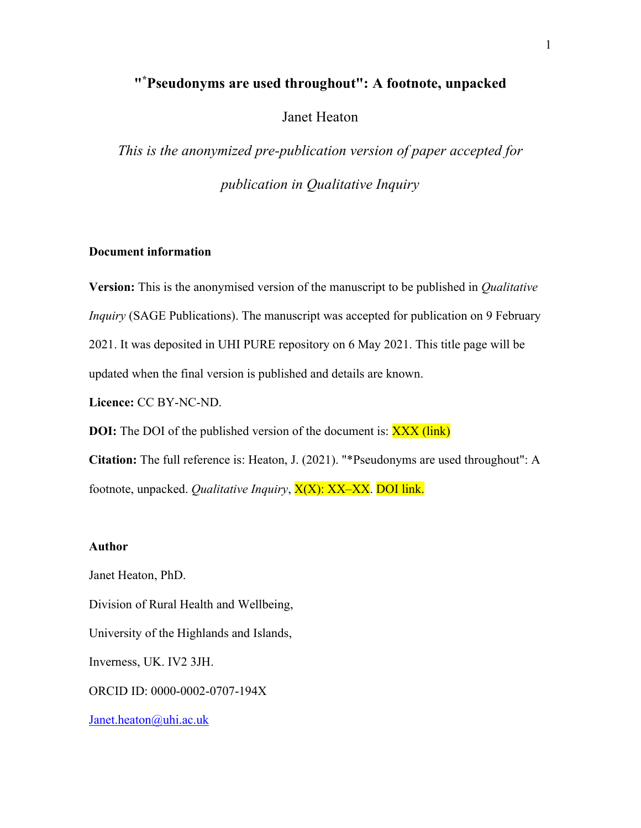## **"\* Pseudonyms are used throughout": A footnote, unpacked**

## Janet Heaton

*This is the anonymized pre-publication version of paper accepted for publication in Qualitative Inquiry*

#### **Document information**

**Version:** This is the anonymised version of the manuscript to be published in *Qualitative Inquiry* (SAGE Publications). The manuscript was accepted for publication on 9 February 2021. It was deposited in UHI PURE repository on 6 May 2021. This title page will be updated when the final version is published and details are known.

**Licence:** CC BY-NC-ND.

**DOI:** The DOI of the published version of the document is: **XXX** (link) **Citation:** The full reference is: Heaton, J. (2021). "\*Pseudonyms are used throughout": A footnote, unpacked. *Qualitative Inquiry*, X(X): XX–XX. DOI link.

## **Author**

Janet Heaton, PhD. Division of Rural Health and Wellbeing, University of the Highlands and Islands, Inverness, UK. IV2 3JH. ORCID ID: 0000-0002-0707-194X Janet.heaton@uhi.ac.uk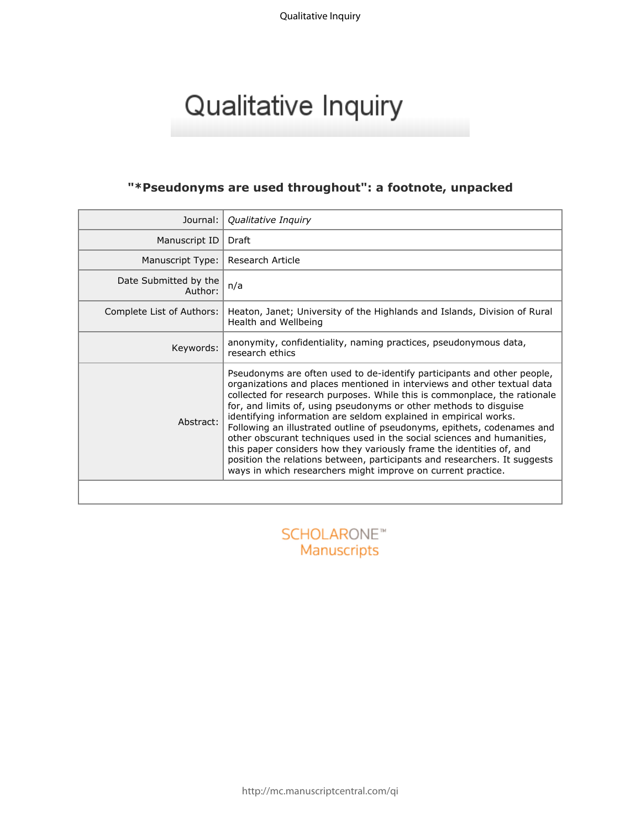Qualitative Inquiry

# Qualitative Inquiry

## **"\*Pseudonyms are used throughout": a footnote, unpacked**

| Journal:                         | Qualitative Inquiry                                                                                                                                                                                                                                                                                                                                                                                                                                                                                                                                                                                                                                                                                                                                |  |  |
|----------------------------------|----------------------------------------------------------------------------------------------------------------------------------------------------------------------------------------------------------------------------------------------------------------------------------------------------------------------------------------------------------------------------------------------------------------------------------------------------------------------------------------------------------------------------------------------------------------------------------------------------------------------------------------------------------------------------------------------------------------------------------------------------|--|--|
| Manuscript ID                    | Draft                                                                                                                                                                                                                                                                                                                                                                                                                                                                                                                                                                                                                                                                                                                                              |  |  |
| Manuscript Type:                 | Research Article                                                                                                                                                                                                                                                                                                                                                                                                                                                                                                                                                                                                                                                                                                                                   |  |  |
| Date Submitted by the<br>Author: | n/a                                                                                                                                                                                                                                                                                                                                                                                                                                                                                                                                                                                                                                                                                                                                                |  |  |
| Complete List of Authors:        | Heaton, Janet; University of the Highlands and Islands, Division of Rural<br>Health and Wellbeing                                                                                                                                                                                                                                                                                                                                                                                                                                                                                                                                                                                                                                                  |  |  |
| Keywords:                        | anonymity, confidentiality, naming practices, pseudonymous data,<br>research ethics                                                                                                                                                                                                                                                                                                                                                                                                                                                                                                                                                                                                                                                                |  |  |
| Abstract:                        | Pseudonyms are often used to de-identify participants and other people,<br>organizations and places mentioned in interviews and other textual data<br>collected for research purposes. While this is commonplace, the rationale<br>for, and limits of, using pseudonyms or other methods to disguise<br>identifying information are seldom explained in empirical works.<br>Following an illustrated outline of pseudonyms, epithets, codenames and<br>other obscurant techniques used in the social sciences and humanities,<br>this paper considers how they variously frame the identities of, and<br>position the relations between, participants and researchers. It suggests<br>ways in which researchers might improve on current practice. |  |  |
|                                  |                                                                                                                                                                                                                                                                                                                                                                                                                                                                                                                                                                                                                                                                                                                                                    |  |  |
| HOL ARO                          |                                                                                                                                                                                                                                                                                                                                                                                                                                                                                                                                                                                                                                                                                                                                                    |  |  |

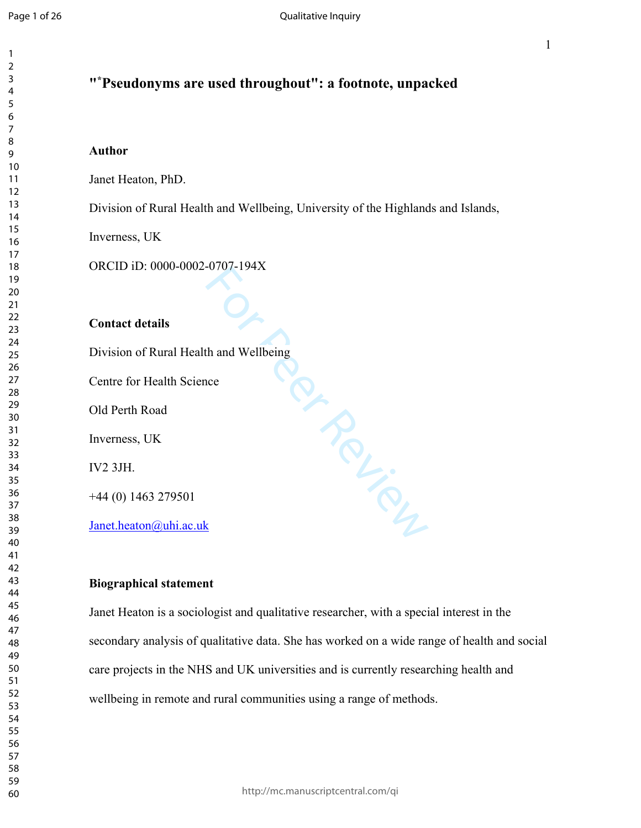$\mathbf{1}$  $\overline{2}$  $\overline{\mathbf{4}}$  $\overline{7}$ 

## **" \*Pseudonyms are used throughout": a footnote, unpacked**

## **Author**

Janet Heaton, PhD.

Division of Rural Health and Wellbeing, University of the Highlands and Islands,

Inverness, UK

ORCID iD: 0000-0002-0707-194X

#### **Contact details**

**PRINCER** Division of Rural Health and Wellbeing Centre for Health Science Old Perth Road Inverness, UK IV2 3JH. +44 (0) 1463 279501 [Janet.heaton@uhi.ac.uk](mailto:Janet.heaton@uhi.ac.uk)

#### **Biographical statement**

Janet Heaton is a sociologist and qualitative researcher, with a special interest in the secondary analysis of qualitative data. She has worked on a wide range of health and social care projects in the NHS and UK universities and is currently researching health and wellbeing in remote and rural communities using a range of methods.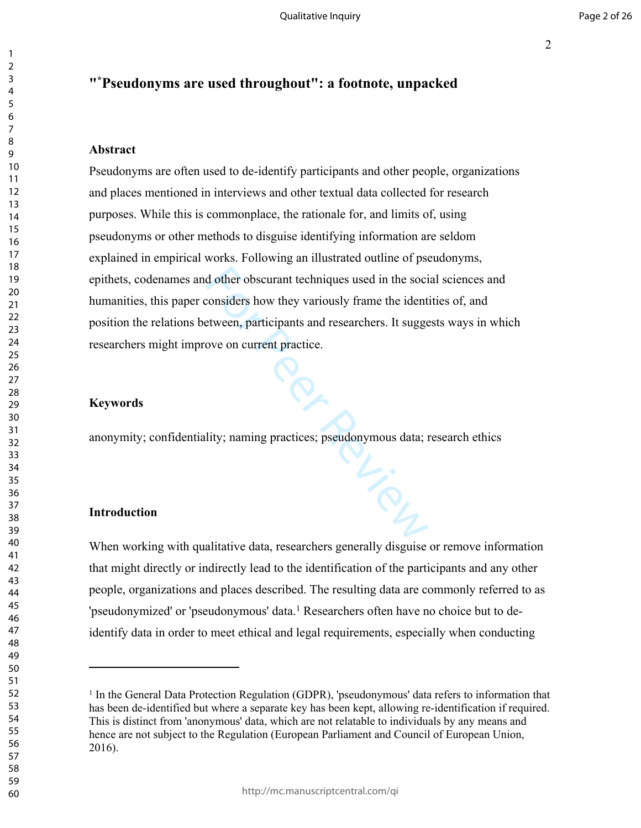## **"\*Pseudonyms are used throughout": a footnote, unpacked**

## **Abstract**

d other obscurant techniques used in the sociconsiders how they variously frame the ident<br>etween, participants and researchers. It sugge<br>ove on current practice.<br>With the contract practices is pseudonymous data; Pseudonyms are often used to de-identify participants and other people, organizations and places mentioned in interviews and other textual data collected for research purposes. While this is commonplace, the rationale for, and limits of, using pseudonyms or other methods to disguise identifying information are seldom explained in empirical works. Following an illustrated outline of pseudonyms, epithets, codenames and other obscurant techniques used in the social sciences and humanities, this paper considers how they variously frame the identities of, and position the relations between, participants and researchers. It suggests ways in which researchers might improve on current practice.

#### **Keywords**

anonymity; confidentiality; naming practices; pseudonymous data; research ethics

#### **Introduction**

When working with qualitative data, researchers generally disguise or remove information that might directly or indirectly lead to the identification of the participants and any other people, organizations and places described. The resulting data are commonly referred to as 'pseudonymized' or 'pseudonymous' data.<sup>1</sup> Researchers often have no choice but to deidentify data in order to meet ethical and legal requirements, especially when conducting

<sup>&</sup>lt;sup>1</sup> In the General Data Protection Regulation (GDPR), 'pseudonymous' data refers to information that has been de-identified but where a separate key has been kept, allowing re-identification if required. This is distinct from 'anonymous' data, which are not relatable to individuals by any means and hence are not subject to the Regulation (European Parliament and Council of European Union, 2016).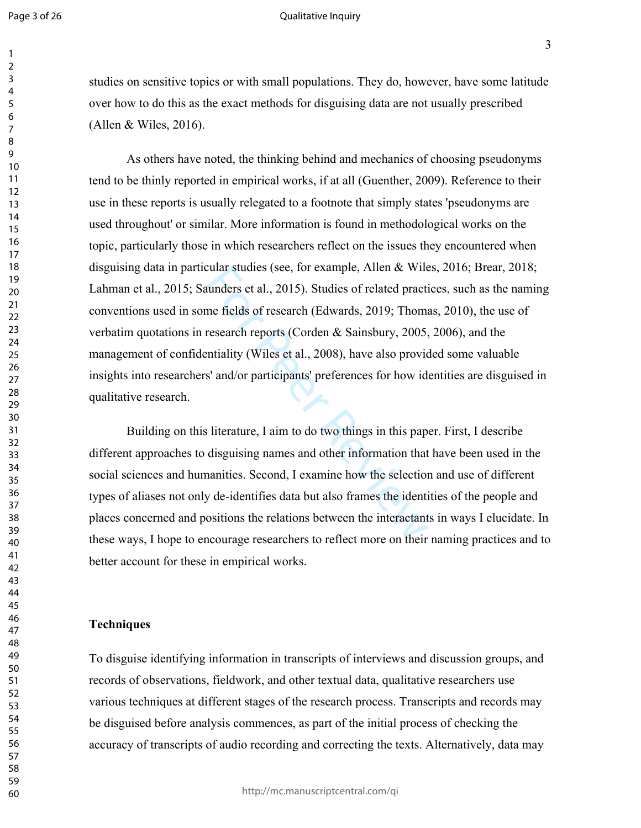Page 3 of 26

 $\mathbf{1}$  $\overline{2}$  $\overline{\mathbf{4}}$  $\overline{7}$  $\mathsf{R}$ 

#### Qualitative Inquiry

studies on sensitive topics or with small populations. They do, however, have some latitude over how to do this as the exact methods for disguising data are not usually prescribed (Allen & Wiles, 2016).

cular studies (see, for example, Allen & Wild<br>
aunders et al., 2015). Studies of related practi<br>
me fields of research (Edwards, 2019; Thoma<br>
research reports (Corden & Sainsbury, 2005,<br>
studies et al., 2008), have also pr As others have noted, the thinking behind and mechanics of choosing pseudonyms tend to be thinly reported in empirical works, if at all (Guenther, 2009). Reference to their use in these reports is usually relegated to a footnote that simply states 'pseudonyms are used throughout' or similar. More information is found in methodological works on the topic, particularly those in which researchers reflect on the issues they encountered when disguising data in particular studies (see, for example, Allen & Wiles, 2016; Brear, 2018; Lahman et al., 2015; Saunders et al., 2015). Studies of related practices, such as the naming conventions used in some fields of research (Edwards, 2019; Thomas, 2010), the use of verbatim quotations in research reports (Corden & Sainsbury, 2005, 2006), and the management of confidentiality (Wiles et al., 2008), have also provided some valuable insights into researchers' and/or participants' preferences for how identities are disguised in qualitative research.

Building on this literature, I aim to do two things in this paper. First, I describe different approaches to disguising names and other information that have been used in the social sciences and humanities. Second, I examine how the selection and use of different types of aliases not only de-identifies data but also frames the identities of the people and places concerned and positions the relations between the interactants in ways I elucidate. In these ways, I hope to encourage researchers to reflect more on their naming practices and to better account for these in empirical works.

### **Techniques**

To disguise identifying information in transcripts of interviews and discussion groups, and records of observations, fieldwork, and other textual data, qualitative researchers use various techniques at different stages of the research process. Transcripts and records may be disguised before analysis commences, as part of the initial process of checking the accuracy of transcripts of audio recording and correcting the texts. Alternatively, data may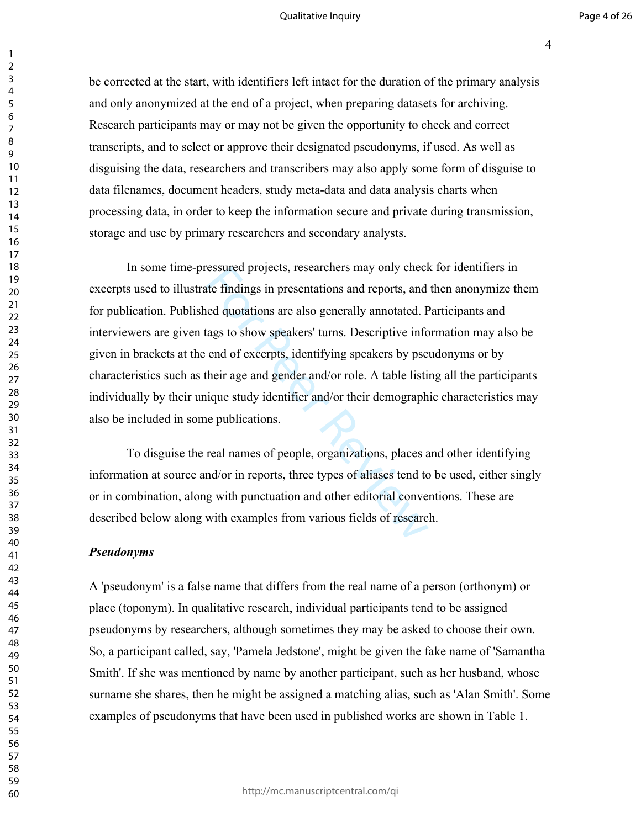#### Qualitative Inquiry

be corrected at the start, with identifiers left intact for the duration of the primary analysis and only anonymized at the end of a project, when preparing datasets for archiving. Research participants may or may not be given the opportunity to check and correct transcripts, and to select or approve their designated pseudonyms, if used. As well as disguising the data, researchers and transcribers may also apply some form of disguise to data filenames, document headers, study meta-data and data analysis charts when processing data, in order to keep the information secure and private during transmission, storage and use by primary researchers and secondary analysts.

ressured projects, researchers may only check<br>the findings in presentations and reports, and<br>ed quotations are also generally annotated. F<br>tags to show speakers' turns. Descriptive info<br>end of excerpts, identifying speaker In some time-pressured projects, researchers may only check for identifiers in excerpts used to illustrate findings in presentations and reports, and then anonymize them for publication. Published quotations are also generally annotated. Participants and interviewers are given tags to show speakers' turns. Descriptive information may also be given in brackets at the end of excerpts, identifying speakers by pseudonyms or by characteristics such as their age and gender and/or role. A table listing all the participants individually by their unique study identifier and/or their demographic characteristics may also be included in some publications.

To disguise the real names of people, organizations, places and other identifying information at source and/or in reports, three types of aliases tend to be used, either singly or in combination, along with punctuation and other editorial conventions. These are described below along with examples from various fields of research.

#### *Pseudonyms*

A 'pseudonym' is a false name that differs from the real name of a person (orthonym) or place (toponym). In qualitative research, individual participants tend to be assigned pseudonyms by researchers, although sometimes they may be asked to choose their own. So, a participant called, say, 'Pamela Jedstone', might be given the fake name of 'Samantha Smith'. If she was mentioned by name by another participant, such as her husband, whose surname she shares, then he might be assigned a matching alias, such as 'Alan Smith'. Some examples of pseudonyms that have been used in published works are shown in Table 1.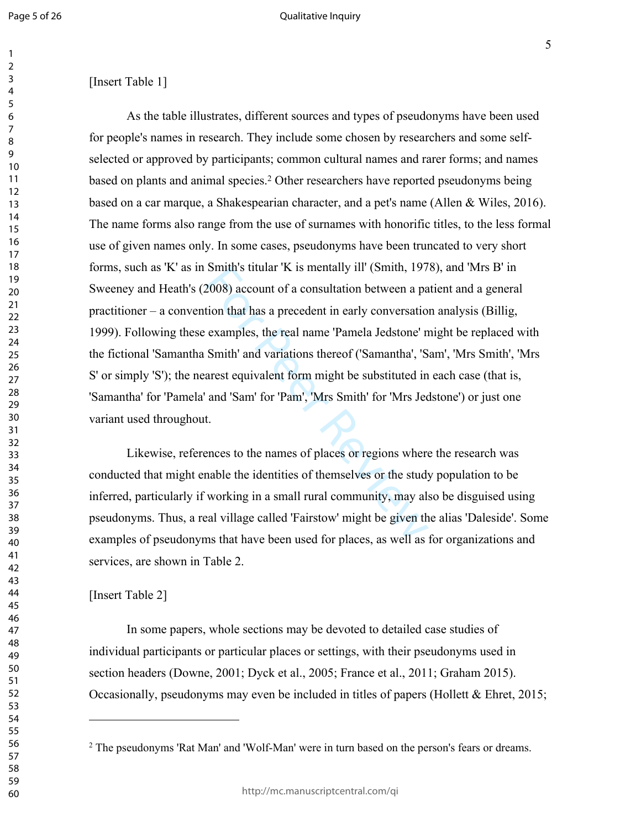## [Insert Table 1]

Smith's titular 'K is mentally III' (Smith, 1970)<br>2008) account of a consultation between a pa<br>tion that has a precedent in early conversatio<br>examples, the real name 'Pamela Jedstone' n<br>Smith' and variations thereof ('Sama As the table illustrates, different sources and types of pseudonyms have been used for people's names in research. They include some chosen by researchers and some selfselected or approved by participants; common cultural names and rarer forms; and names based on plants and animal species. 2 Other researchers have reported pseudonyms being based on a car marque, a Shakespearian character, and a pet's name (Allen & Wiles, 2016). The name forms also range from the use of surnames with honorific titles, to the less formal use of given names only. In some cases, pseudonyms have been truncated to very short forms, such as 'K' as in Smith's titular 'K is mentally ill' (Smith, 1978), and 'Mrs B' in Sweeney and Heath's (2008) account of a consultation between a patient and a general practitioner – a convention that has a precedent in early conversation analysis (Billig, 1999). Following these examples, the real name 'Pamela Jedstone' might be replaced with the fictional 'Samantha Smith' and variations thereof ('Samantha', 'Sam', 'Mrs Smith', 'Mrs S' or simply 'S'); the nearest equivalent form might be substituted in each case (that is, 'Samantha' for 'Pamela' and 'Sam' for 'Pam', 'Mrs Smith' for 'Mrs Jedstone') or just one variant used throughout.

Likewise, references to the names of places or regions where the research was conducted that might enable the identities of themselves or the study population to be inferred, particularly if working in a small rural community, may also be disguised using pseudonyms. Thus, a real village called 'Fairstow' might be given the alias 'Daleside'. Some examples of pseudonyms that have been used for places, as well as for organizations and services, are shown in Table 2.

#### [Insert Table 2]

In some papers, whole sections may be devoted to detailed case studies of individual participants or particular places or settings, with their pseudonyms used in section headers (Downe, 2001; Dyck et al., 2005; France et al., 2011; Graham 2015). Occasionally, pseudonyms may even be included in titles of papers (Hollett & Ehret, 2015;<br>
2 The pseudonyms 'Rat Man' and 'Wolf-Man' were in turn based on the person's fears or dreams.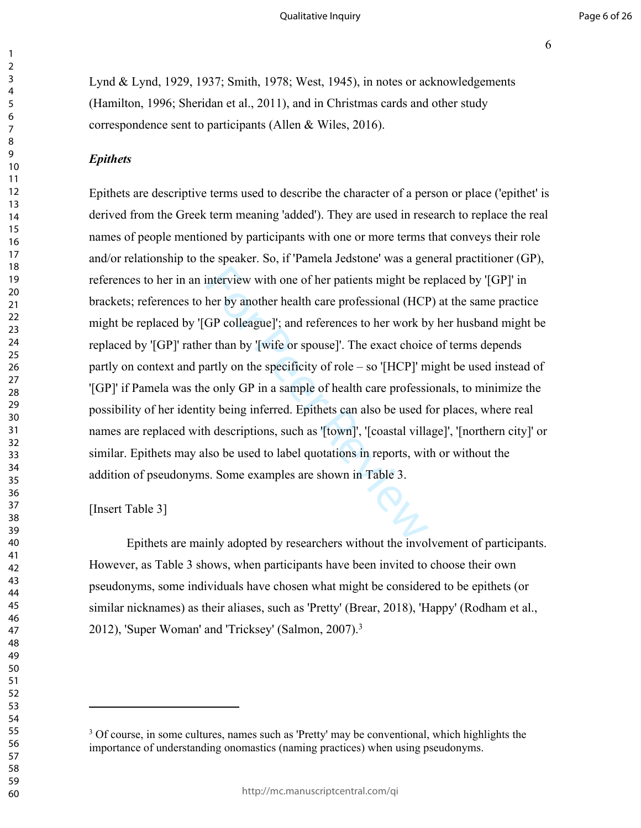Lynd & Lynd, 1929, 1937; Smith, 1978; West, 1945), in notes or acknowledgements (Hamilton, 1996; Sheridan et al., 2011), and in Christmas cards and other study correspondence sent to participants (Allen & Wiles, 2016).

#### *Epithets*

interview with one of her patients might be reflected the reprofessional (HCIGP colleague]'; and references to her work be reflected to the value of the return of the specificity of role – so '[HCP]' me only GP in a sample Epithets are descriptive terms used to describe the character of a person or place ('epithet' is derived from the Greek term meaning 'added'). They are used in research to replace the real names of people mentioned by participants with one or more terms that conveys their role and/or relationship to the speaker. So, if 'Pamela Jedstone' was a general practitioner (GP), references to her in an interview with one of her patients might be replaced by '[GP]' in brackets; references to her by another health care professional (HCP) at the same practice might be replaced by '[GP colleague]'; and references to her work by her husband might be replaced by '[GP]' rather than by '[wife or spouse]'. The exact choice of terms depends partly on context and partly on the specificity of role – so '[HCP]' might be used instead of '[GP]' if Pamela was the only GP in a sample of health care professionals, to minimize the possibility of her identity being inferred. Epithets can also be used for places, where real names are replaced with descriptions, such as '[town]', '[coastal village]', '[northern city]' or similar. Epithets may also be used to label quotations in reports, with or without the addition of pseudonyms. Some examples are shown in Table 3.

[Insert Table 3]

Epithets are mainly adopted by researchers without the involvement of participants. However, as Table 3 shows, when participants have been invited to choose their own pseudonyms, some individuals have chosen what might be considered to be epithets (or similar nicknames) as their aliases, such as 'Pretty' (Brear, 2018), 'Happy' (Rodham et al., 2012), 'Super Woman' and 'Tricksey' (Salmon, 2007).3

<sup>3</sup> Of course, in some cultures, names such as 'Pretty' may be conventional, which highlights the importance of understanding onomastics (naming practices) when using pseudonyms.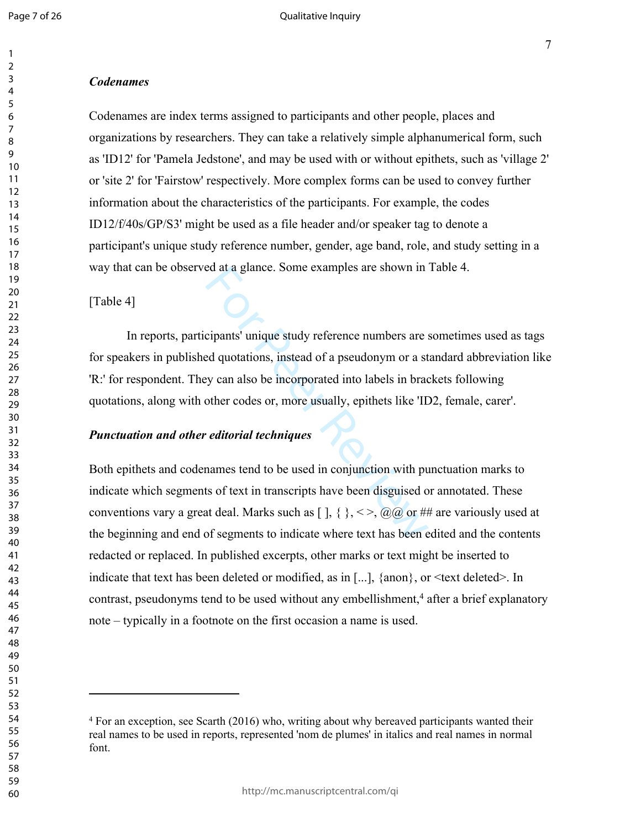#### *Codenames*

Codenames are index terms assigned to participants and other people, places and organizations by researchers. They can take a relatively simple alphanumerical form, such as 'ID12' for 'Pamela Jedstone', and may be used with or without epithets, such as 'village 2' or 'site 2' for 'Fairstow' respectively. More complex forms can be used to convey further information about the characteristics of the participants. For example, the codes ID12/f/40s/GP/S3' might be used as a file header and/or speaker tag to denote a participant's unique study reference number, gender, age band, role, and study setting in a way that can be observed at a glance. Some examples are shown in Table 4.

[Table 4]

In reports, participants' unique study reference numbers are sometimes used as tags for speakers in published quotations, instead of a pseudonym or a standard abbreviation like 'R:' for respondent. They can also be incorporated into labels in brackets following quotations, along with other codes or, more usually, epithets like 'ID2, female, carer'.

## *Punctuation and other editorial techniques*

Equality 1 and the examples are shown in<br>
Equality in the examples are shown in<br>
Equality in the examples are shown in<br>
Equality contains, instead of a pseudonym or a stay<br>
can also be incorporated into labels in brack<br>
o Both epithets and codenames tend to be used in conjunction with punctuation marks to indicate which segments of text in transcripts have been disguised or annotated. These conventions vary a great deal. Marks such as  $[ \cdot ]$ ,  $\{ \}$ ,  $\langle \cdot \rangle$ ,  $(a)$  or ## are variously used at the beginning and end of segments to indicate where text has been edited and the contents redacted or replaced. In published excerpts, other marks or text might be inserted to indicate that text has been deleted or modified, as in [...], {anon}, or <text deleted>. In contrast, pseudonyms tend to be used without any embellishment, 4 after a brief explanatory note – typically in a footnote on the first occasion a name is used.

<sup>4</sup> For an exception, see Scarth (2016) who, writing about why bereaved participants wanted their real names to be used in reports, represented 'nom de plumes' in italics and real names in normal font.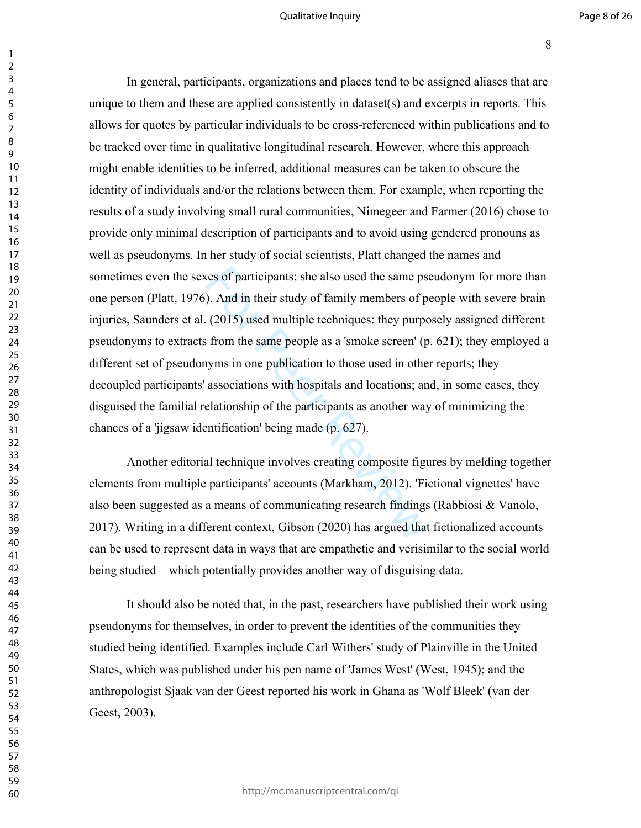#### Qualitative Inquiry

the same ps<br>
2. And in their study of family members of p<br>
2. And in their study of family members of p<br>
2. (2015) used multiple techniques: they purpo<br>
1. (p purposition to those used in othe<br>
1. associations with hospita In general, participants, organizations and places tend to be assigned aliases that are unique to them and these are applied consistently in dataset(s) and excerpts in reports. This allows for quotes by particular individuals to be cross-referenced within publications and to be tracked over time in qualitative longitudinal research. However, where this approach might enable identities to be inferred, additional measures can be taken to obscure the identity of individuals and/or the relations between them. For example, when reporting the results of a study involving small rural communities, Nimegeer and Farmer (2016) chose to provide only minimal description of participants and to avoid using gendered pronouns as well as pseudonyms. In her study of social scientists, Platt changed the names and sometimes even the sexes of participants; she also used the same pseudonym for more than one person (Platt, 1976). And in their study of family members of people with severe brain injuries, Saunders et al. (2015) used multiple techniques: they purposely assigned different pseudonyms to extracts from the same people as a 'smoke screen' (p. 621); they employed a different set of pseudonyms in one publication to those used in other reports; they decoupled participants' associations with hospitals and locations; and, in some cases, they disguised the familial relationship of the participants as another way of minimizing the chances of a 'jigsaw identification' being made (p. 627).

Another editorial technique involves creating composite figures by melding together elements from multiple participants' accounts (Markham, 2012). 'Fictional vignettes' have also been suggested as a means of communicating research findings (Rabbiosi & Vanolo, 2017). Writing in a different context, Gibson (2020) has argued that fictionalized accounts can be used to represent data in ways that are empathetic and verisimilar to the social world being studied – which potentially provides another way of disguising data.

It should also be noted that, in the past, researchers have published their work using pseudonyms for themselves, in order to prevent the identities of the communities they studied being identified. Examples include Carl Withers' study of Plainville in the United States, which was published under his pen name of 'James West' (West, 1945); and the anthropologist Sjaak van der Geest reported his work in Ghana as 'Wolf Bleek' (van der Geest, 2003).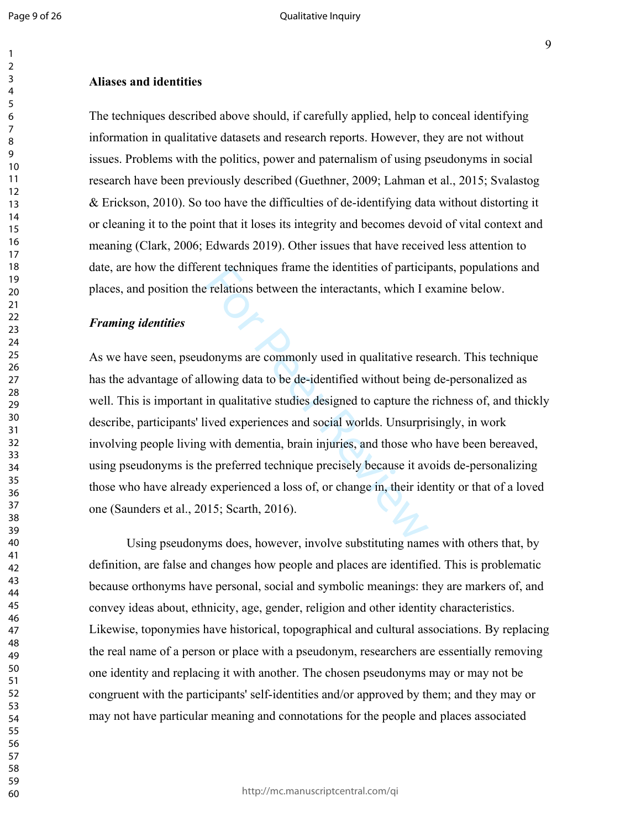$\mathbf{1}$  $\overline{2}$  $\overline{\mathbf{4}}$  $\overline{7}$  $\mathsf{R}$ 

#### **Aliases and identities**

The techniques described above should, if carefully applied, help to conceal identifying information in qualitative datasets and research reports. However, they are not without issues. Problems with the politics, power and paternalism of using pseudonyms in social research have been previously described (Guethner, 2009; Lahman et al., 2015; Svalastog & Erickson, 2010). So too have the difficulties of de-identifying data without distorting it or cleaning it to the point that it loses its integrity and becomes devoid of vital context and meaning (Clark, 2006; Edwards 2019). Other issues that have received less attention to date, are how the different techniques frame the identities of participants, populations and places, and position the relations between the interactants, which I examine below.

#### *Framing identities*

Frequences frame the interactants, which I example relations between the interactants, which I example relations are commonly used in qualitative responsible the domination qualitative studies designed to capture the ived As we have seen, pseudonyms are commonly used in qualitative research. This technique has the advantage of allowing data to be de-identified without being de-personalized as well. This is important in qualitative studies designed to capture the richness of, and thickly describe, participants' lived experiences and social worlds. Unsurprisingly, in work involving people living with dementia, brain injuries, and those who have been bereaved, using pseudonyms is the preferred technique precisely because it avoids de-personalizing those who have already experienced a loss of, or change in, their identity or that of a loved one (Saunders et al., 2015; Scarth, 2016).

Using pseudonyms does, however, involve substituting names with others that, by definition, are false and changes how people and places are identified. This is problematic because orthonyms have personal, social and symbolic meanings: they are markers of, and convey ideas about, ethnicity, age, gender, religion and other identity characteristics. Likewise, toponymies have historical, topographical and cultural associations. By replacing the real name of a person or place with a pseudonym, researchers are essentially removing one identity and replacing it with another. The chosen pseudonyms may or may not be congruent with the participants' self-identities and/or approved by them; and they may or may not have particular meaning and connotations for the people and places associated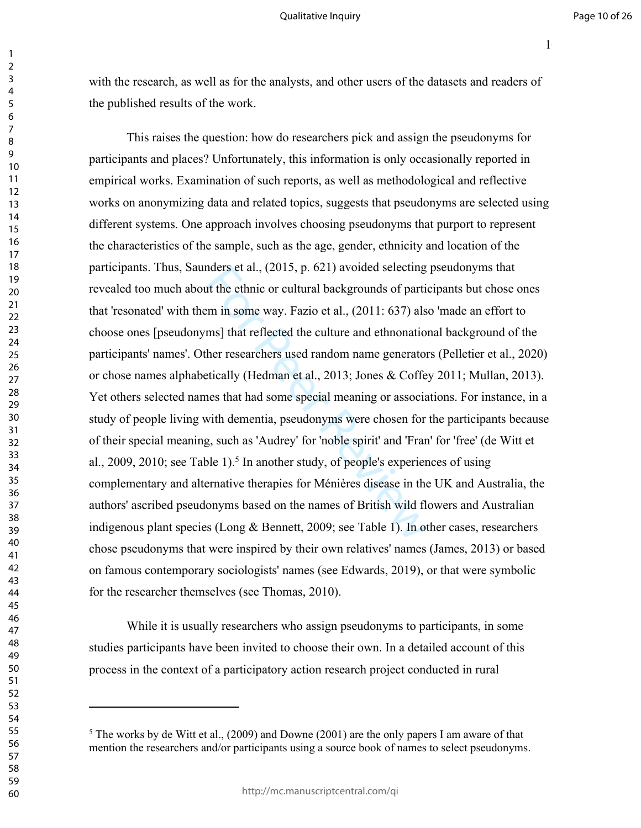$1<sub>0</sub>$ 

with the research, as well as for the analysts, and other users of the datasets and readers of the published results of the work.

nders et al., (2015, p. 621) avoided selecting<br>the ethnic or cultural backgrounds of partie<br>em in some way. Fazio et al., (2011: 637) als<br>ms] that reflected the culture and ethnonation<br>ther researchers used random name gen This raises the question: how do researchers pick and assign the pseudonyms for participants and places? Unfortunately, this information is only occasionally reported in empirical works. Examination of such reports, as well as methodological and reflective works on anonymizing data and related topics, suggests that pseudonyms are selected using different systems. One approach involves choosing pseudonyms that purport to represent the characteristics of the sample, such as the age, gender, ethnicity and location of the participants. Thus, Saunders et al., (2015, p. 621) avoided selecting pseudonyms that revealed too much about the ethnic or cultural backgrounds of participants but chose ones that 'resonated' with them in some way. Fazio et al., (2011: 637) also 'made an effort to choose ones [pseudonyms] that reflected the culture and ethnonational background of the participants' names'. Other researchers used random name generators (Pelletier et al., 2020) or chose names alphabetically (Hedman et al., 2013; Jones & Coffey 2011; Mullan, 2013). Yet others selected names that had some special meaning or associations. For instance, in a study of people living with dementia, pseudonyms were chosen for the participants because of their special meaning, such as 'Audrey' for 'noble spirit' and 'Fran' for 'free' (de Witt et al., 2009, 2010; see Table 1).<sup>5</sup> In another study, of people's experiences of using complementary and alternative therapies for Ménières disease in the UK and Australia, the authors' ascribed pseudonyms based on the names of British wild flowers and Australian indigenous plant species (Long & Bennett, 2009; see Table 1). In other cases, researchers chose pseudonyms that were inspired by their own relatives' names (James, 2013) or based on famous contemporary sociologists' names (see Edwards, 2019), or that were symbolic for the researcher themselves (see Thomas, 2010).

While it is usually researchers who assign pseudonyms to participants, in some studies participants have been invited to choose their own. In a detailed account of this process in the context of a participatory action research project conducted in rural

 The works by de Witt et al., (2009) and Downe (2001) are the only papers I am aware of that mention the researchers and/or participants using a source book of names to select pseudonyms.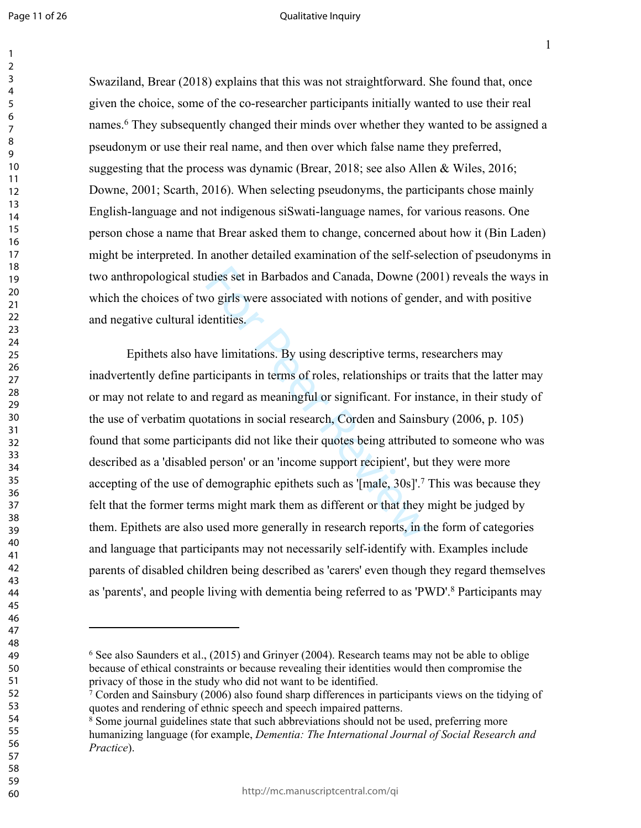$\mathbf{1}$  $\overline{2}$ 3  $\overline{\mathbf{4}}$ 5 6  $\overline{7}$ 8 9

#### Qualitative Inquiry

11

Swaziland, Brear (2018) explains that this was not straightforward. She found that, once given the choice, some of the co-researcher participants initially wanted to use their real names. 6 They subsequently changed their minds over whether they wanted to be assigned a pseudonym or use their real name, and then over which false name they preferred, suggesting that the process was dynamic (Brear, 2018; see also Allen & Wiles, 2016; Downe, 2001; Scarth, 2016). When selecting pseudonyms, the participants chose mainly English-language and not indigenous siSwati-language names, for various reasons. One person chose a name that Brear asked them to change, concerned about how it (Bin Laden) might be interpreted. In another detailed examination of the self-selection of pseudonyms in two anthropological studies set in Barbados and Canada, Downe (2001) reveals the ways in which the choices of two girls were associated with notions of gender, and with positive and negative cultural identities.

dies set in Barbados and Canada, Downe (20<br>vo girls were associated with notions of gend<br>lentities.<br>we limitations. By using descriptive terms, re<br>rticipants in terms of roles, relationships or the<br>regard as meaningful or Epithets also have limitations. By using descriptive terms, researchers may inadvertently define participants in terms of roles, relationships or traits that the latter may or may not relate to and regard as meaningful or significant. For instance, in their study of the use of verbatim quotations in social research, Corden and Sainsbury (2006, p. 105) found that some participants did not like their quotes being attributed to someone who was described as a 'disabled person' or an 'income support recipient', but they were more accepting of the use of demographic epithets such as '[male, 30s]'. 7 This was because they felt that the former terms might mark them as different or that they might be judged by them. Epithets are also used more generally in research reports, in the form of categories and language that participants may not necessarily self-identify with. Examples include parents of disabled children being described as 'carers' even though they regard themselves as 'parents', and people living with dementia being referred to as 'PWD'. 8 Participants may

<sup>6</sup> See also Saunders et al., (2015) and Grinyer (2004). Research teams may not be able to oblige because of ethical constraints or because revealing their identities would then compromise the privacy of those in the study who did not want to be identified.

<sup>7</sup> Corden and Sainsbury (2006) also found sharp differences in participants views on the tidying of quotes and rendering of ethnic speech and speech impaired patterns.

<sup>8</sup> Some journal guidelines state that such abbreviations should not be used, preferring more humanizing language (for example, *Dementia: The International Journal of Social Research and Practice*).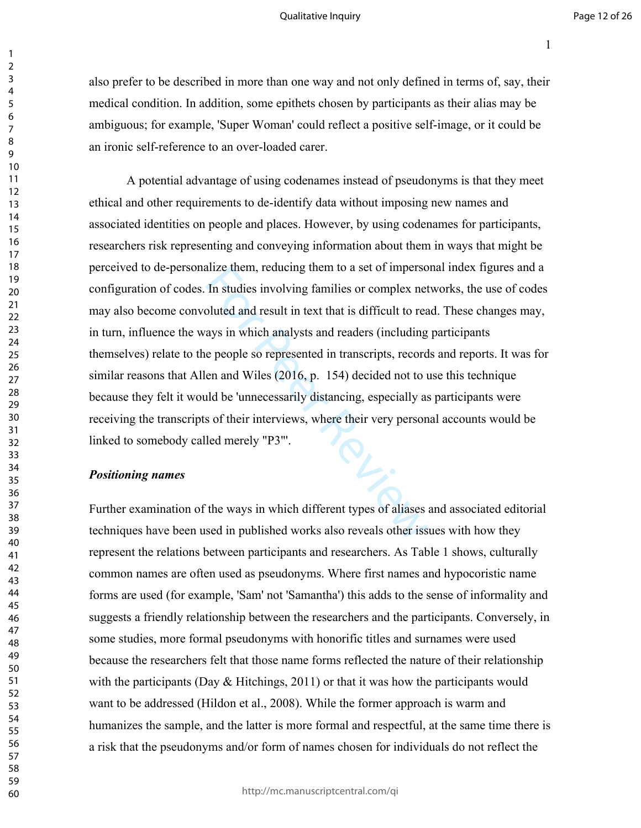#### Qualitative Inquiry

also prefer to be described in more than one way and not only defined in terms of, say, their medical condition. In addition, some epithets chosen by participants as their alias may be ambiguous; for example, 'Super Woman' could reflect a positive self-image, or it could be an ironic self-reference to an over-loaded carer.

anze them, reducing them to a set or imperso<br>In studies involving families or complex net<br>oluted and result in text that is difficult to rea<br>ays in which analysts and readers (including<br>e people so represented in transcrip A potential advantage of using codenames instead of pseudonyms is that they meet ethical and other requirements to de-identify data without imposing new names and associated identities on people and places. However, by using codenames for participants, researchers risk representing and conveying information about them in ways that might be perceived to de-personalize them, reducing them to a set of impersonal index figures and a configuration of codes. In studies involving families or complex networks, the use of codes may also become convoluted and result in text that is difficult to read. These changes may, in turn, influence the ways in which analysts and readers (including participants themselves) relate to the people so represented in transcripts, records and reports. It was for similar reasons that Allen and Wiles (2016, p. 154) decided not to use this technique because they felt it would be 'unnecessarily distancing, especially as participants were receiving the transcripts of their interviews, where their very personal accounts would be linked to somebody called merely "P3"'.

### *Positioning names*

Further examination of the ways in which different types of aliases and associated editorial techniques have been used in published works also reveals other issues with how they represent the relations between participants and researchers. As Table 1 shows, culturally common names are often used as pseudonyms. Where first names and hypocoristic name forms are used (for example, 'Sam' not 'Samantha') this adds to the sense of informality and suggests a friendly relationship between the researchers and the participants. Conversely, in some studies, more formal pseudonyms with honorific titles and surnames were used because the researchers felt that those name forms reflected the nature of their relationship with the participants (Day  $\&$  Hitchings, 2011) or that it was how the participants would want to be addressed (Hildon et al., 2008). While the former approach is warm and humanizes the sample, and the latter is more formal and respectful, at the same time there is a risk that the pseudonyms and/or form of names chosen for individuals do not reflect the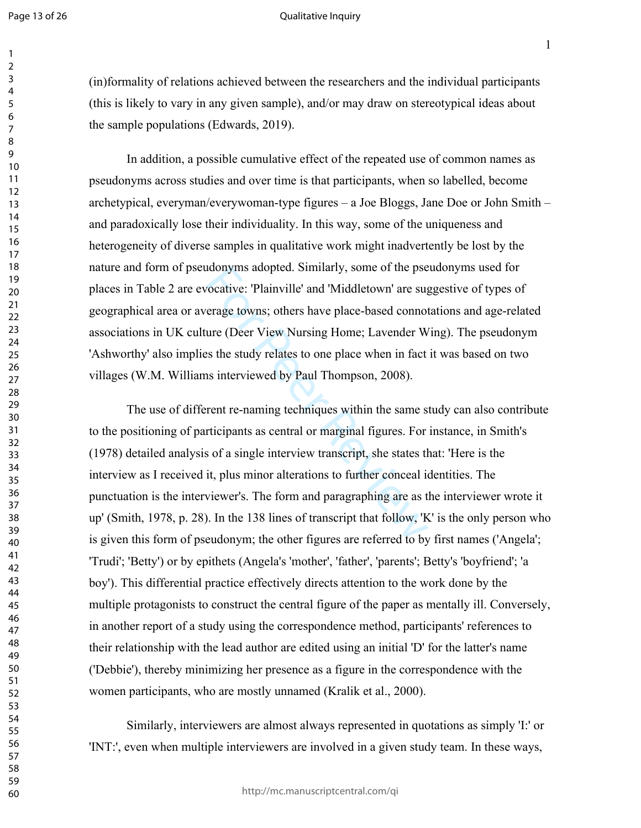$\mathbf{1}$  $\overline{2}$ 3  $\overline{\mathbf{4}}$ 5 6  $\overline{7}$ 8 9

#### Qualitative Inquiry

 $1<sup>3</sup>$ 

(in)formality of relations achieved between the researchers and the individual participants (this is likely to vary in any given sample), and/or may draw on stereotypical ideas about the sample populations (Edwards, 2019).

In addition, a possible cumulative effect of the repeated use of common names as pseudonyms across studies and over time is that participants, when so labelled, become archetypical, everyman/everywoman-type figures – a Joe Bloggs, Jane Doe or John Smith – and paradoxically lose their individuality. In this way, some of the uniqueness and heterogeneity of diverse samples in qualitative work might inadvertently be lost by the nature and form of pseudonyms adopted. Similarly, some of the pseudonyms used for places in Table 2 are evocative: 'Plainville' and 'Middletown' are suggestive of types of geographical area or average towns; others have place-based connotations and age-related associations in UK culture (Deer View Nursing Home; Lavender Wing). The pseudonym 'Ashworthy' also implies the study relates to one place when in fact it was based on two villages (W.M. Williams interviewed by Paul Thompson, 2008).

doonyms adopted. Similarly, some of the pse<br>
vocative: 'Plainville' and 'Middletown' are sug<br>
erage towns; others have place-based connot<br>
ure (Deer View Nursing Home; Lavender W<br>
ss the study relates to one place when in The use of different re-naming techniques within the same study can also contribute to the positioning of participants as central or marginal figures. For instance, in Smith's (1978) detailed analysis of a single interview transcript, she states that: 'Here is the interview as I received it, plus minor alterations to further conceal identities. The punctuation is the interviewer's. The form and paragraphing are as the interviewer wrote it up' (Smith, 1978, p. 28). In the 138 lines of transcript that follow, 'K' is the only person who is given this form of pseudonym; the other figures are referred to by first names ('Angela'; 'Trudi'; 'Betty') or by epithets (Angela's 'mother', 'father', 'parents'; Betty's 'boyfriend'; 'a boy'). This differential practice effectively directs attention to the work done by the multiple protagonists to construct the central figure of the paper as mentally ill. Conversely, in another report of a study using the correspondence method, participants' references to their relationship with the lead author are edited using an initial 'D' for the latter's name ('Debbie'), thereby minimizing her presence as a figure in the correspondence with the women participants, who are mostly unnamed (Kralik et al., 2000).

Similarly, interviewers are almost always represented in quotations as simply 'I:' or 'INT:', even when multiple interviewers are involved in a given study team. In these ways,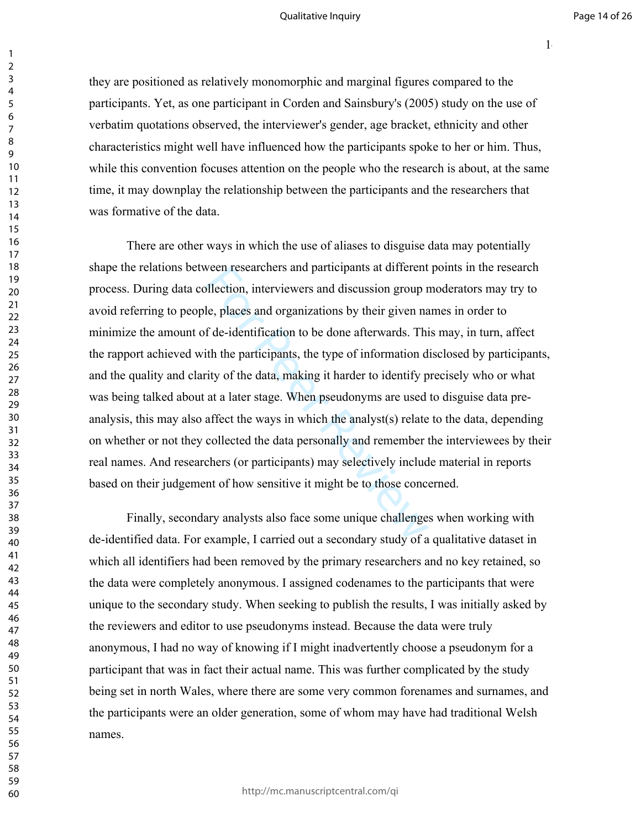#### Qualitative Inquiry

 $1<sub>i</sub>$ 

they are positioned as relatively monomorphic and marginal figures compared to the participants. Yet, as one participant in Corden and Sainsbury's (2005) study on the use of verbatim quotations observed, the interviewer's gender, age bracket, ethnicity and other characteristics might well have influenced how the participants spoke to her or him. Thus, while this convention focuses attention on the people who the research is about, at the same time, it may downplay the relationship between the participants and the researchers that was formative of the data.

Ween researchers and participants at different<br>pllection, interviewers and discussion group is<br>le, places and organizations by their given nase<br>of de-identification to be done afterwards. This<br>ith the participants, the typ There are other ways in which the use of aliases to disguise data may potentially shape the relations between researchers and participants at different points in the research process. During data collection, interviewers and discussion group moderators may try to avoid referring to people, places and organizations by their given names in order to minimize the amount of de-identification to be done afterwards. This may, in turn, affect the rapport achieved with the participants, the type of information disclosed by participants, and the quality and clarity of the data, making it harder to identify precisely who or what was being talked about at a later stage. When pseudonyms are used to disguise data preanalysis, this may also affect the ways in which the analyst(s) relate to the data, depending on whether or not they collected the data personally and remember the interviewees by their real names. And researchers (or participants) may selectively include material in reports based on their judgement of how sensitive it might be to those concerned.

Finally, secondary analysts also face some unique challenges when working with de-identified data. For example, I carried out a secondary study of a qualitative dataset in which all identifiers had been removed by the primary researchers and no key retained, so the data were completely anonymous. I assigned codenames to the participants that were unique to the secondary study. When seeking to publish the results, I was initially asked by the reviewers and editor to use pseudonyms instead. Because the data were truly anonymous, I had no way of knowing if I might inadvertently choose a pseudonym for a participant that was in fact their actual name. This was further complicated by the study being set in north Wales, where there are some very common forenames and surnames, and the participants were an older generation, some of whom may have had traditional Welsh names.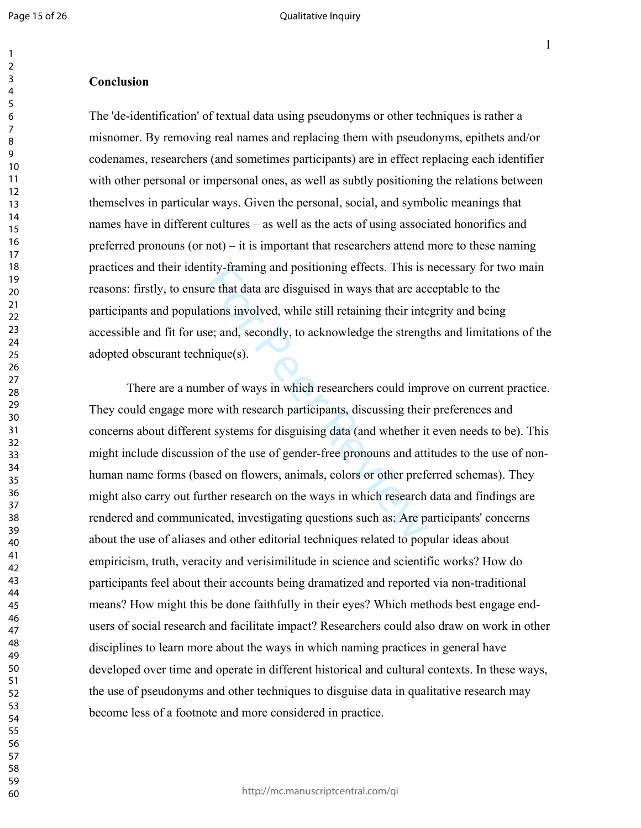$\mathbf{1}$  $\overline{2}$ 3  $\overline{\mathbf{4}}$ 5 6  $\overline{7}$  $\mathsf{R}$ 9

 $1<sup>5</sup>$ 

#### **Conclusion**

The 'de-identification' of textual data using pseudonyms or other techniques is rather a misnomer. By removing real names and replacing them with pseudonyms, epithets and/or codenames, researchers (and sometimes participants) are in effect replacing each identifier with other personal or impersonal ones, as well as subtly positioning the relations between themselves in particular ways. Given the personal, social, and symbolic meanings that names have in different cultures – as well as the acts of using associated honorifics and preferred pronouns (or not) – it is important that researchers attend more to these naming practices and their identity-framing and positioning effects. This is necessary for two main reasons: firstly, to ensure that data are disguised in ways that are acceptable to the participants and populations involved, while still retaining their integrity and being accessible and fit for use; and, secondly, to acknowledge the strengths and limitations of the adopted obscurant technique(s).

Inty-framing and positioning errects. This is if<br>re that data are disguised in ways that are act<br>tions involved, while still retaining their inte<br>se; and, secondly, to acknowledge the strengt<br>nique(s).<br>there of ways in whi There are a number of ways in which researchers could improve on current practice. They could engage more with research participants, discussing their preferences and concerns about different systems for disguising data (and whether it even needs to be). This might include discussion of the use of gender-free pronouns and attitudes to the use of nonhuman name forms (based on flowers, animals, colors or other preferred schemas). They might also carry out further research on the ways in which research data and findings are rendered and communicated, investigating questions such as: Are participants' concerns about the use of aliases and other editorial techniques related to popular ideas about empiricism, truth, veracity and verisimilitude in science and scientific works? How do participants feel about their accounts being dramatized and reported via non-traditional means? How might this be done faithfully in their eyes? Which methods best engage endusers of social research and facilitate impact? Researchers could also draw on work in other disciplines to learn more about the ways in which naming practices in general have developed over time and operate in different historical and cultural contexts. In these ways, the use of pseudonyms and other techniques to disguise data in qualitative research may become less of a footnote and more considered in practice.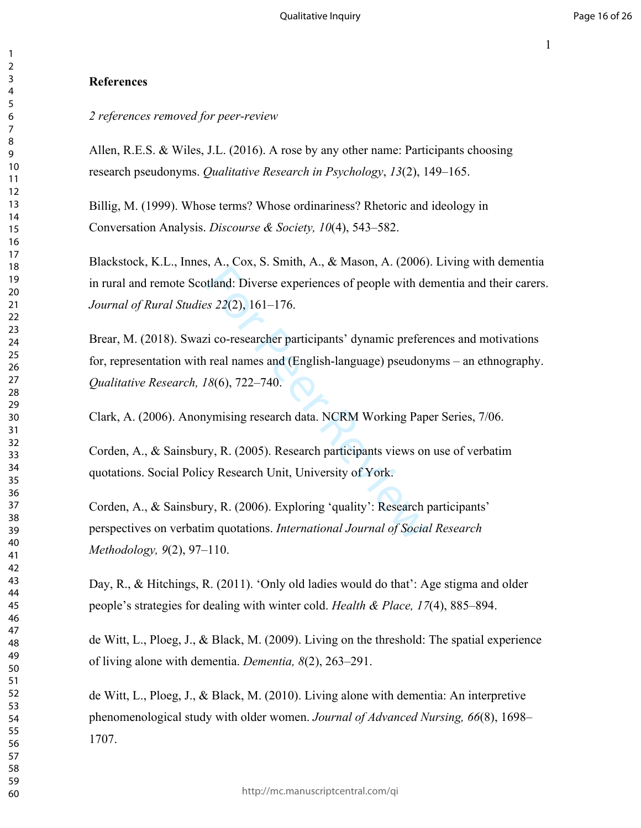## **References**

## *2 references removed for peer-review*

Allen, R.E.S. & Wiles, J.L. (2016). A rose by any other name: Participants choosing research pseudonyms. *Qualitative Research in Psychology*, *13*(2), 149–165.

Billig, M. (1999). Whose terms? Whose ordinariness? Rhetoric and ideology in Conversation Analysis. *Discourse & Society, 10*(4), 543–582.

Blackstock, K.L., Innes, A., Cox, S. Smith, A., & Mason, A. (2006). Living with dementia in rural and remote Scotland: Diverse experiences of people with dementia and their carers. *Journal of Rural Studies 22*(2), 161–176.

filand: Diverse experiences of people with de<br> *es 22*(2), 161–176.<br>
zi co-researcher participants' dynamic preference and annes and (English-language) pseudon<br>  $18(6)$ , 722–740.<br>
ymising research data. NCRM Working Pap<br> Brear, M. (2018). Swazi co-researcher participants' dynamic preferences and motivations for, representation with real names and (English-language) pseudonyms – an ethnography. *Qualitative Research, 18*(6), 722–740.

Clark, A. (2006). Anonymising research data. NCRM Working Paper Series, 7/06.

Corden, A., & Sainsbury, R. (2005). Research participants views on use of verbatim quotations. Social Policy Research Unit, University of York.

Corden, A., & Sainsbury, R. (2006). Exploring 'quality': Research participants' perspectives on verbatim quotations. *International Journal of Social Research Methodology, 9*(2), 97–110.

Day, R., & Hitchings, R. (2011). 'Only old ladies would do that': Age stigma and older people's strategies for dealing with winter cold. *Health & Place, 17*(4), 885–894.

de Witt, L., Ploeg, J., & Black, M. (2009). Living on the threshold: The spatial experience of living alone with dementia. *Dementia, 8*(2), 263–291.

de Witt, L., Ploeg, J., & Black, M. (2010). Living alone with dementia: An interpretive phenomenological study with older women. *Journal of Advanced Nursing, 66*(8), 1698– 1707.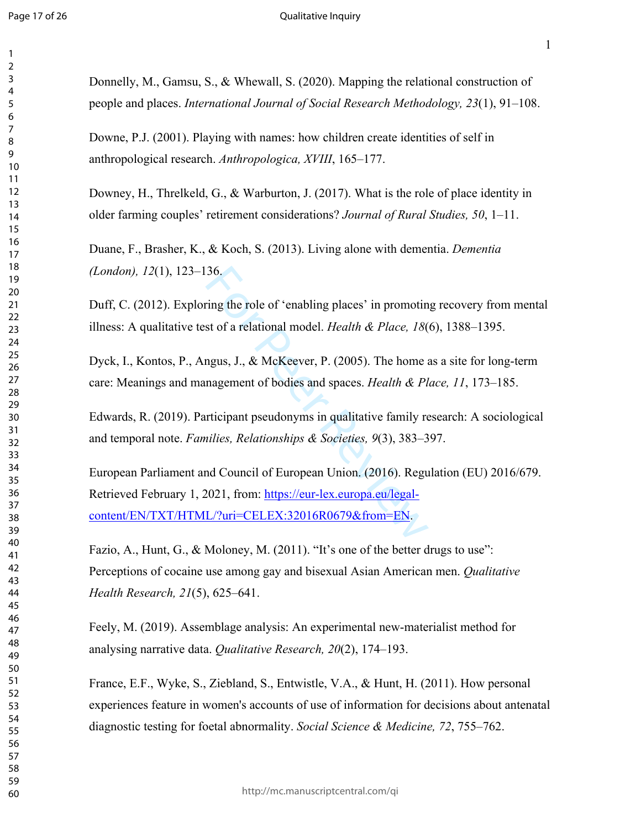$\mathbf{1}$  $\overline{2}$  $\overline{7}$  $\mathsf{R}$ 

#### Qualitative Inquiry

Donnelly, M., Gamsu, S., & Whewall, S. (2020). Mapping the relational construction of people and places. *International Journal of Social Research Methodology, 23*(1), 91–108.

Downe, P.J. (2001). Playing with names: how children create identities of self in anthropological research. *Anthropologica, XVIII*, 165–177.

Downey, H., Threlkeld, G., & Warburton, J. (2017). What is the role of place identity in older farming couples' retirement considerations? *Journal of Rural Studies, 50*, 1–11.

Duane, F., Brasher, K., & Koch, S. (2013). Living alone with dementia. *Dementia (London), 12*(1), 123–136.

Duff, C. (2012). Exploring the role of 'enabling places' in promoting recovery from mental illness: A qualitative test of a relational model. *Health & Place, 18*(6), 1388–1395.

Dyck, I., Kontos, P., Angus, J., & McKeever, P. (2005). The home as a site for long-term care: Meanings and management of bodies and spaces. *Health & Place, 11*, 173–185.

Edwards, R. (2019). Participant pseudonyms in qualitative family research: A sociological and temporal note. *Families, Relationships & Societies, 9*(3), 383–397.

36.<br>
st of a relational model. *Health & Place, 18*<br>
st of a relational model. *Health & Place, 18*<br>
ngus, J., & McKeever, P. (2005). The home a<br>
nagement of bodies and spaces. *Health & Pl*<br>
rticipant pseudonyms in quali European Parliament and Council of European Union. (2016). Regulation (EU) 2016/679. Retrieved February 1, 2021, from: https://eur-lex.europa.eu/legal[content/EN/TXT/HTML/?uri=CELEX:32016R0679&from=EN.](https://eur-lex.europa.eu/legal-content/EN/TXT/HTML/?uri=CELEX:32016R0679&from=EN)

Fazio, A., Hunt, G., & Moloney, M. (2011). "It's one of the better drugs to use": Perceptions of cocaine use among gay and bisexual Asian American men. *Qualitative Health Research, 21*(5), 625–641.

Feely, M. (2019). Assemblage analysis: An experimental new-materialist method for analysing narrative data. *Qualitative Research, 20*(2), 174–193.

France, E.F., Wyke, S., Ziebland, S., Entwistle, V.A., & Hunt, H. (2011). How personal experiences feature in women's accounts of use of information for decisions about antenatal diagnostic testing for foetal abnormality. *Social Science & Medicine, 72*, 755–762.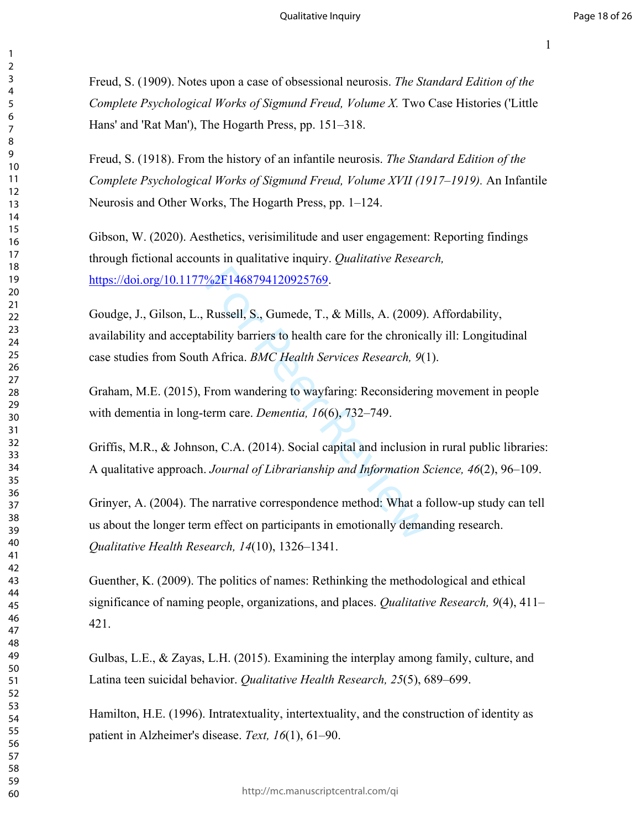Freud, S. (1909). Notes upon a case of obsessional neurosis. *The Standard Edition of the Complete Psychological Works of Sigmund Freud, Volume X.* Two Case Histories ('Little Hans' and 'Rat Man'), The Hogarth Press, pp. 151–318.

Freud, S. (1918). From the history of an infantile neurosis. *The Standard Edition of the Complete Psychological Works of Sigmund Freud, Volume XVII (1917–1919).* An Infantile Neurosis and Other Works, The Hogarth Press, pp. 1–124.

Gibson, W. (2020). Aesthetics, verisimilitude and user engagement: Reporting findings through fictional accounts in qualitative inquiry. *Qualitative Research,*  [https://doi.org/10.1177%2F1468794120925769.](https://doi.org/10.1177%2F1468794120925769)

 $\frac{2.2F1468794120925769}{2.2F1468794120925769}$ .<br>Russell, S., Gumede, T., & Mills, A. (2009).<br>hbility barriers to health care for the chronica<br>1 Africa. *BMC Health Services Research*, 9(1<br>From wandering to wayfaring: Rec Goudge, J., Gilson, L., Russell, S., Gumede, T., & Mills, A. (2009). Affordability, availability and acceptability barriers to health care for the chronically ill: Longitudinal case studies from South Africa. *BMC Health Services Research, 9*(1).

Graham, M.E. (2015), From wandering to wayfaring: Reconsidering movement in people with dementia in long-term care. *Dementia, 16*(6), 732–749.

Griffis, M.R., & Johnson, C.A. (2014). Social capital and inclusion in rural public libraries: A qualitative approach. *Journal of Librarianship and Information Science, 46*(2), 96–109.

Grinyer, A. (2004). The narrative correspondence method: What a follow-up study can tell us about the longer term effect on participants in emotionally demanding research. *Qualitative Health Research, 14*(10), 1326–1341.

Guenther, K. (2009). The politics of names: Rethinking the methodological and ethical significance of naming people, organizations, and places. *Qualitative Research, 9*(4), 411– 421.

Gulbas, L.E., & Zayas, L.H. (2015). Examining the interplay among family, culture, and Latina teen suicidal behavior. *Qualitative Health Research, 25*(5), 689–699.

Hamilton, H.E. (1996). Intratextuality, intertextuality, and the construction of identity as patient in Alzheimer's disease. *Text, 16*(1), 61–90.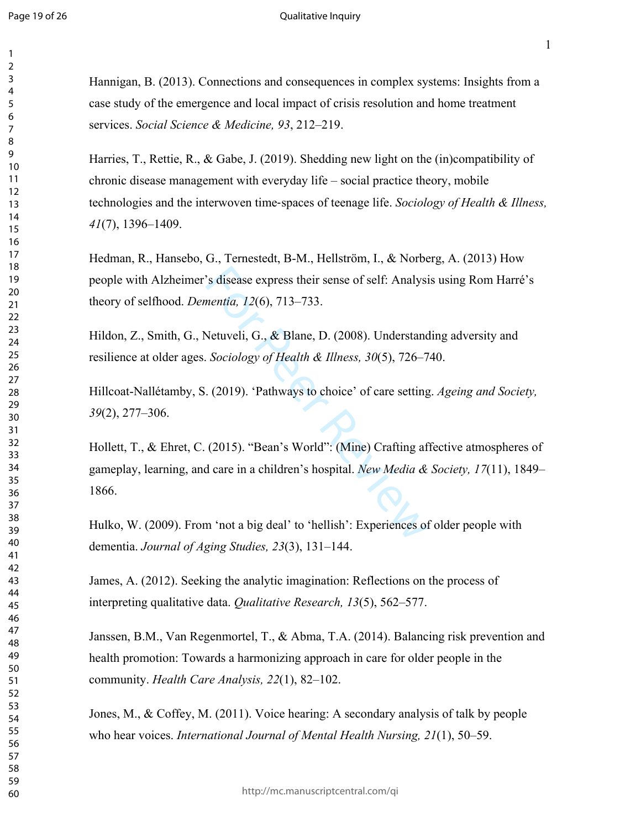#### Qualitative Inquiry

 $1<sup>9</sup>$ 

Hannigan, B. (2013). Connections and consequences in complex systems: Insights from a case study of the emergence and local impact of crisis resolution and home treatment services. *Social Science & Medicine, 93*, 212–219.

Harries, T., Rettie, R., & Gabe, J. (2019). Shedding new light on the (in)compatibility of chronic disease management with everyday life – social practice theory, mobile technologies and the interwoven time ‐spaces of teenage life. *Sociology of Health & Illness,* (7), 1396–1409.

Hedman, R., Hansebo, G., Ternestedt, B-M., Hellström, I., & Norberg, A. (2013) How people with Alzheimer's disease express their sense of self: Analysis using Rom Harré's theory of selfhood. *Dementia, 12*(6), 713–733.

Hildon, Z., Smith, G., Netuveli, G., & Blane, D. (2008). Understanding adversity and resilience at older ages. *Sociology of Health & Illness, 30*(5), 726–740.

Hillcoat-Nallétamby, S. (2019). 'Pathways to choice' of care setting. *Ageing and Society,* (2), 277–306.

S disease express their sense of self: Analysi<br>
nentia, 12(6), 713–733.<br>
Netuveli, G., & Blane, D. (2008). Understand<br>
Sociology of Health & Illness, 30(5), 726–7<br>
. (2019). 'Pathways to choice' of care setting<br>
(2015). " Hollett, T., & Ehret, C. (2015). "Bean's World": (Mine) Crafting affective atmospheres of gameplay, learning, and care in a children's hospital. *New Media & Society, 17*(11), 1849– 1866.

Hulko, W. (2009). From 'not a big deal' to 'hellish': Experiences of older people with dementia. *Journal of Aging Studies, 23*(3), 131–144.

James, A. (2012). Seeking the analytic imagination: Reflections on the process of interpreting qualitative data. *Qualitative Research, 13*(5), 562–577.

Janssen, B.M., Van Regenmortel, T., & Abma, T.A. (2014). Balancing risk prevention and health promotion: Towards a harmonizing approach in care for older people in the community. *Health Care Analysis, 22*(1), 82–102.

Jones, M., & Coffey, M. (2011). Voice hearing: A secondary analysis of talk by people who hear voices. *International Journal of Mental Health Nursing, 21*(1), 50–59.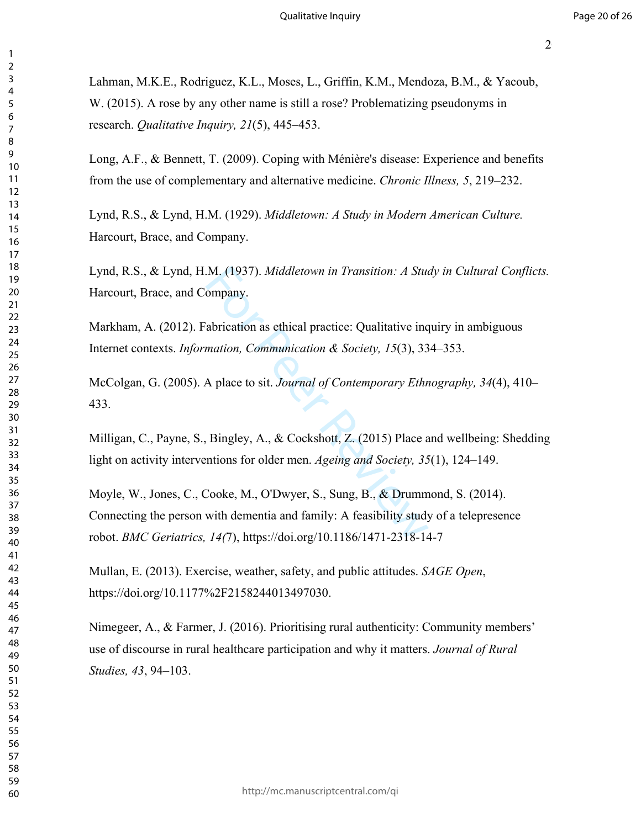Lahman, M.K.E., Rodriguez, K.L., Moses, L., Griffin, K.M., Mendoza, B.M., & Yacoub, W. (2015). A rose by any other name is still a rose? Problematizing pseudonyms in research. *Qualitative Inquiry, 21*(5), 445–453.

Long, A.F., & Bennett, T. (2009). Coping with Ménière's disease: Experience and benefits from the use of complementary and alternative medicine. *Chronic Illness, 5*, 219–232.

Lynd, R.S., & Lynd, H.M. (1929). *Middletown: A Study in Modern American Culture.* Harcourt, Brace, and Company.

Lynd, R.S., & Lynd, H.M. (1937). *Middletown in Transition: A Study in Cultural Conflicts.* Harcourt, Brace, and Company.

Markham, A. (2012). Fabrication as ethical practice: Qualitative inquiry in ambiguous Internet contexts. *Information, Communication & Society, 15*(3), 334–353.

McColgan, G. (2005). A place to sit. *Journal of Contemporary Ethnography, 34*(4), 410– 433.

Milligan, C., Payne, S., Bingley, A., & Cockshott, Z. (2015) Place and wellbeing: Shedding light on activity interventions for older men. *Ageing and Society, 35*(1), 124–149.

M. (1937). *Middletown in Transition: A Studenpany*.<br>
abrication as ethical practice: Qualitative inc<br>
mation, *Communication & Society, 15*(3), 33<br>
A place to sit. *Journal of Contemporary Ethr*<br>
Bingley, A., & Cockshott, Moyle, W., Jones, C., Cooke, M., O'Dwyer, S., Sung, B., & Drummond, S. (2014). Connecting the person with dementia and family: A feasibility study of a telepresence robot. *BMC Geriatrics, 14(*7), https://doi.org/10.1186/1471-2318-14-7

Mullan, E. (2013). Exercise, weather, safety, and public attitudes. *SAGE Open*, https://doi.org/10.1177%2F2158244013497030.

Nimegeer, A., & Farmer, J. (2016). Prioritising rural authenticity: Community members' use of discourse in rural healthcare participation and why it matters. *Journal of Rural Studies, 43*, 94–103.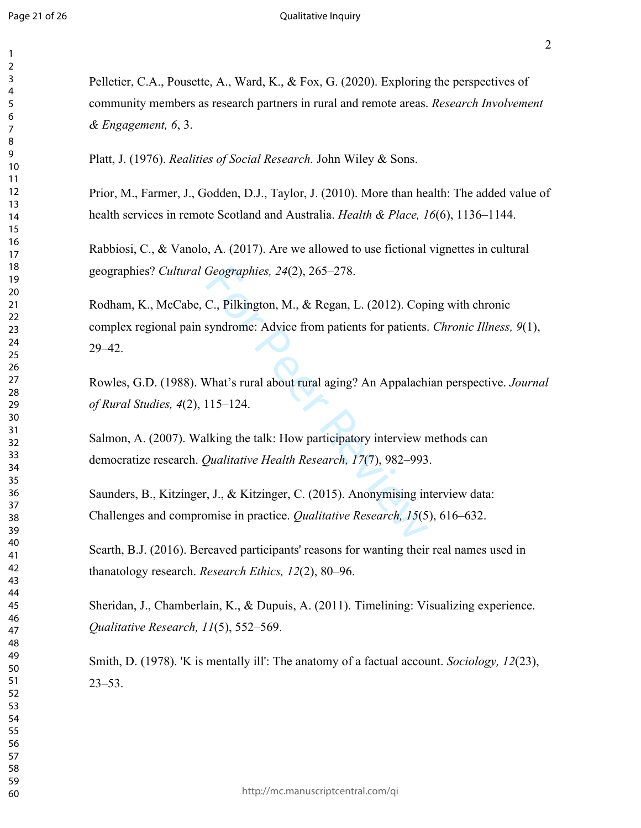#### Qualitative Inquiry

Geographies, 24(2), 265–278.<br>C., Pilkington, M., & Regan, L. (2012). Cop<br>syndrome: Advice from patients for patients.<br>What's rural about rural aging? An Appalach<br>115–124.<br>Iking the talk: How participatory interview r<br>Quali Pelletier, C.A., Pousette, A., Ward, K., & Fox, G. (2020). Exploring the perspectives of community members as research partners in rural and remote areas. *Research Involvement & Engagement, 6*, 3. Platt, J. (1976). *Realities of Social Research.* John Wiley & Sons. Prior, M., Farmer, J., Godden, D.J., Taylor, J. (2010). More than health: The added value of health services in remote Scotland and Australia. *Health & Place, 16*(6), 1136–1144. Rabbiosi, C., & Vanolo, A. (2017). Are we allowed to use fictional vignettes in cultural geographies? *Cultural Geographies, 24*(2), 265–278. Rodham, K., McCabe, C., Pilkington, M., & Regan, L. (2012). Coping with chronic complex regional pain syndrome: Advice from patients for patients. *Chronic Illness, 9*(1), 29–42. Rowles, G.D. (1988). What's rural about rural aging? An Appalachian perspective. *Journal of Rural Studies, 4*(2), 115–124. Salmon, A. (2007). Walking the talk: How participatory interview methods can democratize research. *Qualitative Health Research, 17*(7), 982–993. Saunders, B., Kitzinger, J., & Kitzinger, C. (2015). Anonymising interview data: Challenges and compromise in practice. *Qualitative Research, 15*(5), 616–632. Scarth, B.J. (2016). Bereaved participants' reasons for wanting their real names used in thanatology research. *Research Ethics, 12*(2), 80–96. Sheridan, J., Chamberlain, K., & Dupuis, A. (2011). Timelining: Visualizing experience. *Qualitative Research, 11*(5), 552–569. Smith, D. (1978). 'K is mentally ill': The anatomy of a factual account. *Sociology, 12*(23), 23–53.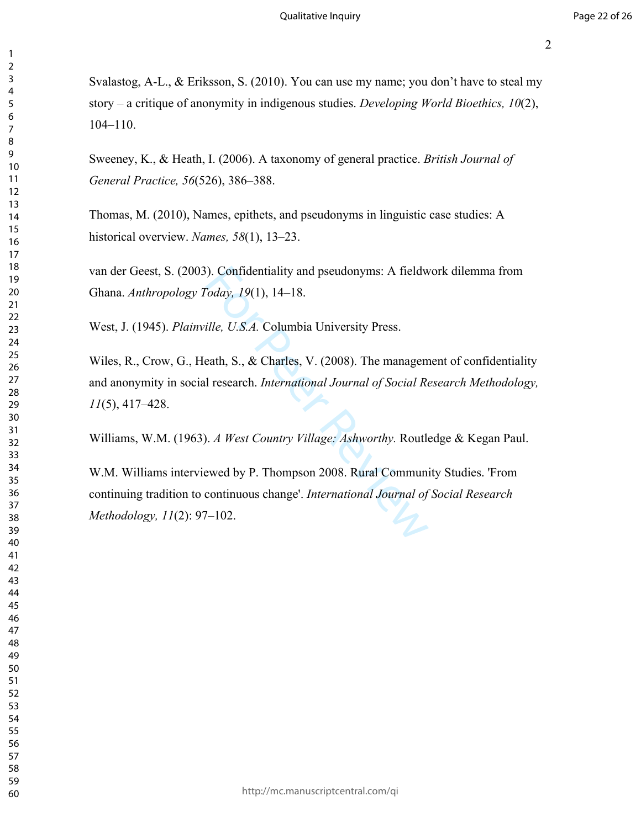Svalastog, A-L., & Eriksson, S. (2010). You can use my name; you don't have to steal my story – a critique of anonymity in indigenous studies. *Developing World Bioethics, 10*(2), 104–110.

Sweeney, K., & Heath, I. (2006). A taxonomy of general practice. *British Journal of General Practice, 56*(526), 386–388.

Thomas, M. (2010), Names, epithets, and pseudonyms in linguistic case studies: A historical overview. *Names, 58*(1), 13–23.

van der Geest, S. (2003). Confidentiality and pseudonyms: A fieldwork dilemma from Ghana. *Anthropology Today, 19*(1), 14–18.

West, J. (1945). *Plainville, U.S.A.* Columbia University Press.

Wiles, R., Crow, G., Heath, S., & Charles, V. (2008). The management of confidentiality and anonymity in social research. *International Journal of Social Research Methodology,*  (5), 417–428.

Williams, W.M. (1963). *A West Country Village: Ashworthy.* Routledge & Kegan Paul.

(b). Confidentiality and pseudonyms: A fieldw<br>
Foday, 19(1), 14–18.<br>
ille, U.S.A. Columbia University Press.<br>
eath, S., & Charles, V. (2008). The managen<br>
1 research. International Journal of Social Reviewed by P. Thompson W.M. Williams interviewed by P. Thompson 2008. Rural Community Studies. 'From continuing tradition to continuous change'. *International Journal of Social Research Methodology, 11*(2): 97–102.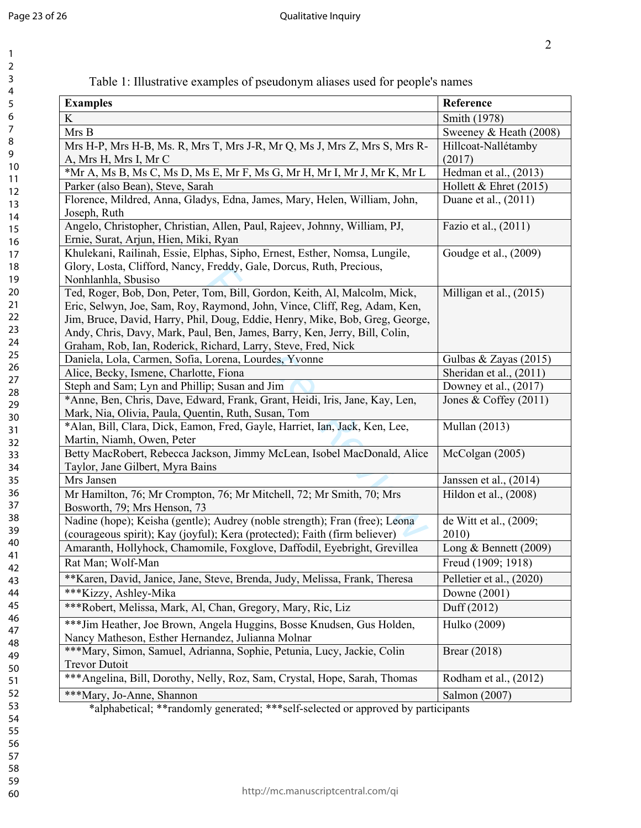$\mathbf{1}$  $\overline{2}$  $\mathsf 3$ 4 5 6  $\overline{7}$ 8 9

Table 1: Illustrative examples of pseudonym aliases used for people's names

| <b>Examples</b>                                                                                                    | Reference                |
|--------------------------------------------------------------------------------------------------------------------|--------------------------|
| K                                                                                                                  | Smith (1978)             |
| Mrs B                                                                                                              | Sweeney & Heath (2008)   |
| Mrs H-P, Mrs H-B, Ms. R, Mrs T, Mrs J-R, Mr Q, Ms J, Mrs Z, Mrs S, Mrs R-                                          | Hillcoat-Nallétamby      |
| A, Mrs H, Mrs I, Mr C                                                                                              | (2017)                   |
| *Mr A, Ms B, Ms C, Ms D, Ms E, Mr F, Ms G, Mr H, Mr I, Mr J, Mr K, Mr L                                            | Hedman et al., $(2013)$  |
| Parker (also Bean), Steve, Sarah                                                                                   | Hollett & Ehret $(2015)$ |
| Florence, Mildred, Anna, Gladys, Edna, James, Mary, Helen, William, John,                                          | Duane et al., (2011)     |
| Joseph, Ruth                                                                                                       |                          |
| Angelo, Christopher, Christian, Allen, Paul, Rajeev, Johnny, William, PJ,<br>Ernie, Surat, Arjun, Hien, Miki, Ryan | Fazio et al., (2011)     |
| Khulekani, Railinah, Essie, Elphas, Sipho, Ernest, Esther, Nomsa, Lungile,                                         | Goudge et al., (2009)    |
| Glory, Losta, Clifford, Nancy, Freddy, Gale, Dorcus, Ruth, Precious,                                               |                          |
| Nonhlanhla, Sbusiso                                                                                                |                          |
| Ted, Roger, Bob, Don, Peter, Tom, Bill, Gordon, Keith, Al, Malcolm, Mick,                                          | Milligan et al., (2015)  |
| Eric, Selwyn, Joe, Sam, Roy, Raymond, John, Vince, Cliff, Reg, Adam, Ken,                                          |                          |
| Jim, Bruce, David, Harry, Phil, Doug, Eddie, Henry, Mike, Bob, Greg, George,                                       |                          |
| Andy, Chris, Davy, Mark, Paul, Ben, James, Barry, Ken, Jerry, Bill, Colin,                                         |                          |
| Graham, Rob, Ian, Roderick, Richard, Larry, Steve, Fred, Nick                                                      |                          |
| Daniela, Lola, Carmen, Sofia, Lorena, Lourdes, Yvonne                                                              | Gulbas & Zayas $(2015)$  |
| Alice, Becky, Ismene, Charlotte, Fiona                                                                             | Sheridan et al., (2011)  |
| Steph and Sam; Lyn and Phillip; Susan and Jim                                                                      | Downey et al., $(2017)$  |
| *Anne, Ben, Chris, Dave, Edward, Frank, Grant, Heidi, Iris, Jane, Kay, Len,                                        | Jones & Coffey $(2011)$  |
| Mark, Nia, Olivia, Paula, Quentin, Ruth, Susan, Tom                                                                |                          |
| *Alan, Bill, Clara, Dick, Eamon, Fred, Gayle, Harriet, Ian, Jack, Ken, Lee,                                        | <b>Mullan</b> (2013)     |
| Martin, Niamh, Owen, Peter                                                                                         |                          |
| Betty MacRobert, Rebecca Jackson, Jimmy McLean, Isobel MacDonald, Alice                                            | McColgan (2005)          |
| Taylor, Jane Gilbert, Myra Bains                                                                                   |                          |
| Mrs Jansen                                                                                                         | Janssen et al., $(2014)$ |
| Mr Hamilton, 76; Mr Crompton, 76; Mr Mitchell, 72; Mr Smith, 70; Mrs                                               | Hildon et al., $(2008)$  |
| Bosworth, 79; Mrs Henson, 73                                                                                       |                          |
| Nadine (hope); Keisha (gentle); Audrey (noble strength); Fran (free); Leona                                        | de Witt et al., (2009;   |
| (courageous spirit); Kay (joyful); Kera (protected); Faith (firm believer)                                         | 2010)                    |
| Amaranth, Hollyhock, Chamomile, Foxglove, Daffodil, Eyebright, Grevillea                                           | Long & Bennett $(2009)$  |
| Rat Man; Wolf-Man                                                                                                  | Freud (1909; 1918)       |
| ** Karen, David, Janice, Jane, Steve, Brenda, Judy, Melissa, Frank, Theresa                                        | Pelletier et al., (2020) |
| ***Kizzy, Ashley-Mika                                                                                              | Downe (2001)             |
| ***Robert, Melissa, Mark, Al, Chan, Gregory, Mary, Ric, Liz                                                        | Duff (2012)              |
| *** Jim Heather, Joe Brown, Angela Huggins, Bosse Knudsen, Gus Holden,                                             | Hulko (2009)             |
| Nancy Matheson, Esther Hernandez, Julianna Molnar                                                                  |                          |
| ***Mary, Simon, Samuel, Adrianna, Sophie, Petunia, Lucy, Jackie, Colin                                             | Brear (2018)             |
| <b>Trevor Dutoit</b>                                                                                               |                          |
| *** Angelina, Bill, Dorothy, Nelly, Roz, Sam, Crystal, Hope, Sarah, Thomas                                         | Rodham et al., (2012)    |
|                                                                                                                    |                          |

\*alphabetical; \*\*randomly generated; \*\*\*self-selected or approved by participants

59 60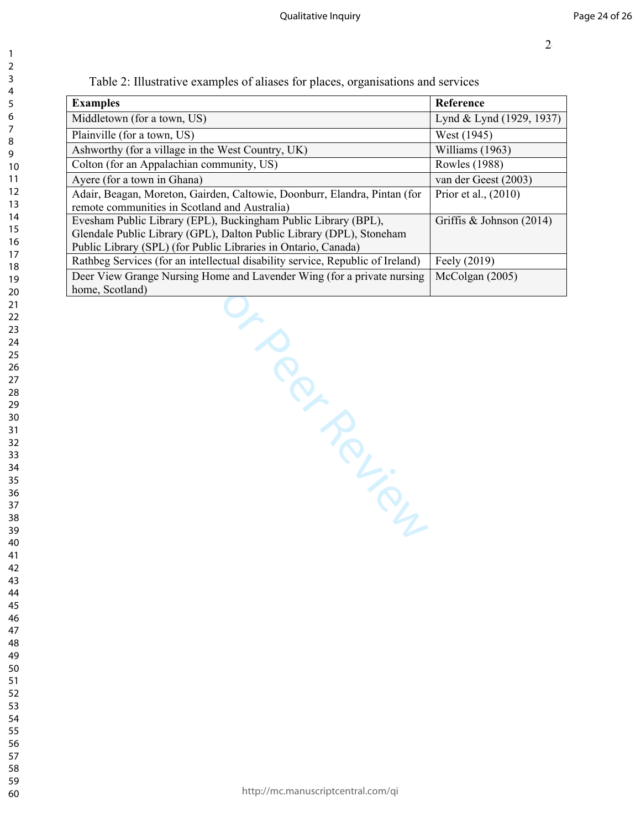| Table 2: Illustrative examples of aliases for places, organisations and services |  |  |
|----------------------------------------------------------------------------------|--|--|
|                                                                                  |  |  |

| <b>Examples</b>                                                                                                                                                                                          | Reference                |  |  |
|----------------------------------------------------------------------------------------------------------------------------------------------------------------------------------------------------------|--------------------------|--|--|
| Middletown (for a town, US)                                                                                                                                                                              | Lynd & Lynd (1929, 1937) |  |  |
| Plainville (for a town, US)                                                                                                                                                                              | West (1945)              |  |  |
| Ashworthy (for a village in the West Country, UK)                                                                                                                                                        | Williams (1963)          |  |  |
| Colton (for an Appalachian community, US)                                                                                                                                                                | Rowles (1988)            |  |  |
| Ayere (for a town in Ghana)                                                                                                                                                                              | van der Geest (2003)     |  |  |
| Adair, Beagan, Moreton, Gairden, Caltowie, Doonburr, Elandra, Pintan (for<br>remote communities in Scotland and Australia)                                                                               | Prior et al., (2010)     |  |  |
| Evesham Public Library (EPL), Buckingham Public Library (BPL),<br>Glendale Public Library (GPL), Dalton Public Library (DPL), Stoneham<br>Public Library (SPL) (for Public Libraries in Ontario, Canada) | Griffis & Johnson (2014) |  |  |
| Rathbeg Services (for an intellectual disability service, Republic of Ireland)                                                                                                                           | Feely (2019)             |  |  |
| Deer View Grange Nursing Home and Lavender Wing (for a private nursing<br>home, Scotland)                                                                                                                | McColgan (2005)          |  |  |
|                                                                                                                                                                                                          |                          |  |  |
| PRICES                                                                                                                                                                                                   |                          |  |  |

http://mc.manuscriptcentral.com/qi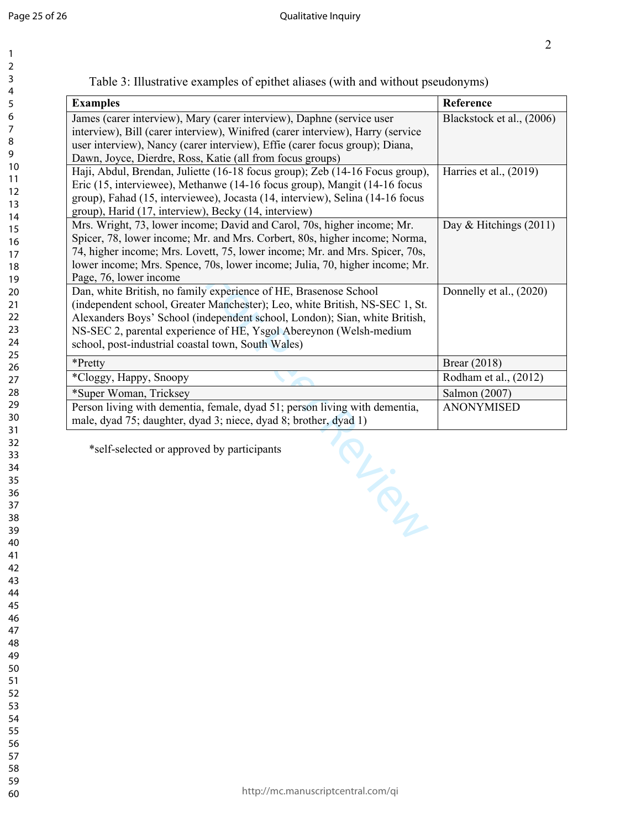$\mathbf{1}$ 

Blackstock et al., (2006)

Harries et al., (2019)

Day & Hitchings (2011)

Donnelly et al., (2020)

ANONYMISED

| 1               |  |
|-----------------|--|
| $\overline{c}$  |  |
|                 |  |
| 3<br>4          |  |
|                 |  |
|                 |  |
| 5<br>6          |  |
| 7               |  |
|                 |  |
| 8               |  |
| 9               |  |
| 10              |  |
| 11              |  |
|                 |  |
| 12              |  |
| 13              |  |
| $\overline{14}$ |  |
| 15              |  |
|                 |  |
| 16              |  |
| 17              |  |
| 18              |  |
| 19              |  |
|                 |  |
| 20              |  |
| $\overline{21}$ |  |
| $\overline{22}$ |  |
| 23              |  |
|                 |  |
| 24<br>25        |  |
|                 |  |
| 26              |  |
| 27              |  |
|                 |  |
| 28              |  |
| 29              |  |
| 30              |  |
|                 |  |
| 31              |  |
| 32              |  |
| 33              |  |
| 34              |  |
|                 |  |
| 35              |  |
| 36              |  |
| 37              |  |
| 38              |  |
|                 |  |
| 39              |  |
| 40              |  |
| 41              |  |
| 42              |  |
|                 |  |
| 43              |  |
| 44              |  |
| 45              |  |
| 46              |  |
|                 |  |
| 47              |  |
| 48              |  |
| 49              |  |
| 50              |  |
|                 |  |
| 51              |  |
| 52              |  |
| 53              |  |
| 54              |  |
|                 |  |
| 55              |  |
| 56              |  |
| 57              |  |

58 59 60

Table 3: Illustrative examples of epithet aliases (with and without pseudonyms)

**Examples Reference**

James (carer interview), Mary (carer interview), Daphne (service user interview), Bill (carer interview), Winifred (carer interview), Harry (service user interview), Nancy (carer interview), Effie (carer focus group); Diana,

Haji, Abdul, Brendan, Juliette (16-18 focus group); Zeb (14-16 Focus group), Eric (15, interviewee), Methanwe (14-16 focus group), Mangit (14-16 focus group), Fahad (15, interviewee), Jocasta (14, interview), Selina (14-16 focus

Mrs. Wright, 73, lower income; David and Carol, 70s, higher income; Mr. Spicer, 78, lower income; Mr. and Mrs. Corbert, 80s, higher income; Norma, 74, higher income; Mrs. Lovett, 75, lower income; Mr. and Mrs. Spicer, 70s, lower income; Mrs. Spence, 70s, lower income; Julia, 70, higher income; Mr.

(independent school, Greater Manchester); Leo, white British, NS-SEC 1, St. Alexanders Boys' School (independent school, London); Sian, white British, NS-SEC 2, parental experience of HE, Ysgol Abereynon (Welsh-medium

Person living with dementia, female, dyad 51; person living with dementia,

male, dyad 75; daughter, dyad 3; niece, dyad 8; brother, dyad 1)

\*Pretty Brear (2018)

\*Super Woman, Tricksey Salmon (2007)

\*Cloggy, Happy, Snoopy Rodham et al., (2012)

Dan, white British, no family experience of HE, Brasenose School

Dawn, Joyce, Dierdre, Ross, Katie (all from focus groups)

group), Harid (17, interview), Becky (14, interview)

school, post-industrial coastal town, South Wales)

\*self-selected or approved by participants

Page, 76, lower income

AL.<br>Rue